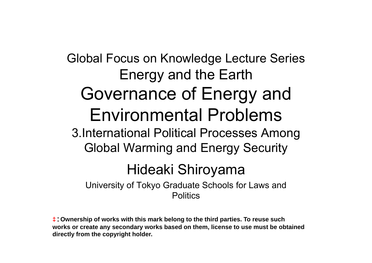## Global Focus on Knowledge Lecture Series Energy and the Earth Governance of Energy and Environmental Problems3 International Political Processes Among 3.International Political Global Warming and Energy Security Hideaki Shiroyama

University of Tokyo Graduate Schools for Laws and **Politics** 

**t**: Ownership of works with this mark belong to the third parties. To reuse such **works or create any secondary works based on them, license to use must be obtained directly from the copyright holder.**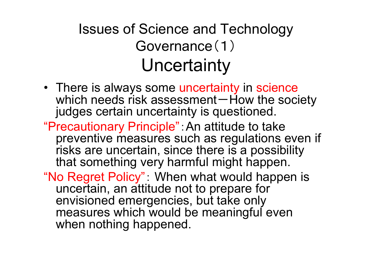#### Issues of Science and Technology Governance(1) Uncertaint y

- There is always some uncertainty in science which needs risk assessment $-$  How the society judges certain uncertainty is questioned.
- "Precautionar y p Princi ple":An attitude to take preventive measures such as regulations even if risks are uncertain, since there is a possibility that something very harmful might happen.
- "No Regret Policy": When what would happen is uncertain, an attitude not to prepare for envisioned emergencies, but take only measures which would be meaningful even when nothing happened.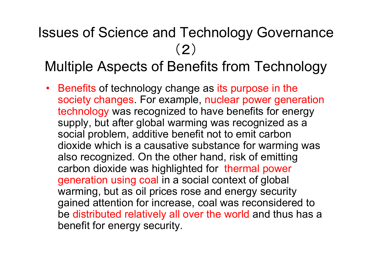#### Issues of Science and Technology Governance (2) Multiple Aspects of Benefits from Technology

• Benefits of technology change as its purpose in the society changes. For example, nuclear power generation technology was recognized to have benefits for energy supply, but after global warming was recognized as a social problem, additive benefit not to emit carbon dioxide which is a causative substance for warming was also recognized. On the other hand, risk of emitting carbon dioxide was highlighted for thermal power generation using coal in a social context of global warming, but as oil prices rose and energy security gained attention for increase, coal was reconsidered to be distributed relatively all over the world and thus has a benefit for energy security.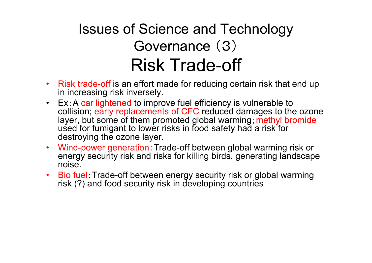#### Issues of Science and Technology Governance ( 3) Risk Trade-off

- Risk trade-off is an effort made for reducing certain risk that end up in increasing risk inversely.
- Ex:A car lightened to improve fuel efficiency is vulnerable to collision; early replacements of CFC reduced damages to the ozone layer, but some of them promoted global warming ; methyl bromide used for fumigant to lower risks in food safety had a risk for destroying the ozone layer.
- Wind-power generation:Trade-off between global warming risk or energy security risk and risks for killing birds, generating landscape noise.
- $\bullet$  Bio fuel:Trade-off between energy security risk or global warming risk (?) and food security risk in developing countries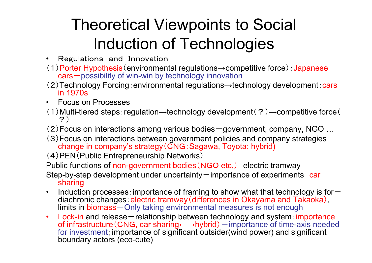## Theoretical Viewpoints to Social Induction of Technologies

- Regulations and Innovation
- (1)Porter Hypothesis (environmental regulations→competitive force) : Japanese cars – possibility of win-win by technology innovation
- (2)Technology Forcing: environmental regulations→technology development: cars in 1970s
- Focus on Processes
- (1)Multi-tiered steps:regulation <sup>→</sup>technology development(?) <sup>→</sup>competitive force( ?)
- (2) Focus on interactions among various bodies  $-$  government, company, NGO ...
- (3)Focus on interactions between government policies and company strategies change in company's strategy(CNG:Sagawa, Toyota: hybrid)

(4)PEN(Public Entrepreneurship Networks)

Public functions of non-government bodies (NGO etc,) electric tramway

Step-by-step development under uncertainty – importance of experiments car sharing

- $\bullet$ • Induction processes: importance of framing to show what that technology is for  $$ diachronic changes: electric tramway (differences in Okayama and Takaoka), limits in biomass – Only taking environmental measures is not enough
- $\bullet$ Lock-in and release – relationship between technology and system: importance of infrastructure(CNG, car sharing←→hybrid)-importance of time-axis needed for investment; importance of significant outsider(wind power) and significant boundary actors (eco-cute)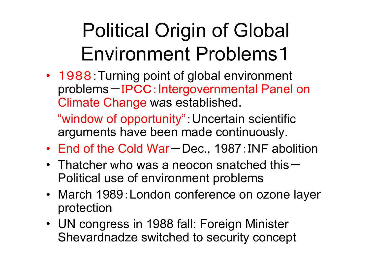# Political Origin of Global Environment Problems 1

• 1988: Turning point of global environment problems -IPCC:Intergovernmental Panel on Climate Change was established.

"window of opportunity":Uncertain scientific arguments have been made continuously.

- End of the Cold War-Dec., 1987: INF abolition
- Thatcher who was a neocon snatched this -Political use of environment problems
- March 1989: London conference on ozone layer protection
- UN congress in 1988 fall: Foreign Minister Shevardnadze switched to security concept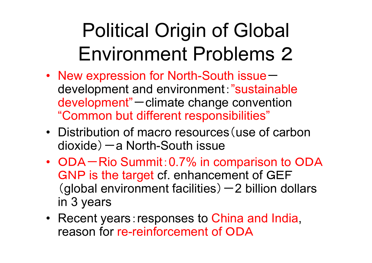# Political Origin of Global Environment Problems 2

- New expression for North-South issuedevelopment and environment:"sustainable development " $"$ -climate change convention "Common but different responsibilities"
- Distribution of macro resources (use of carbon dioxide)-a North-South issue
- ODA Rio Summit: 0.7% in comparison to ODA GNP is the target cf. enhancement of GEF (global environment facilities) - 2 billion dollars in 3 years
- Recent years: responses to China and India, reason for re-reinforcement of ODA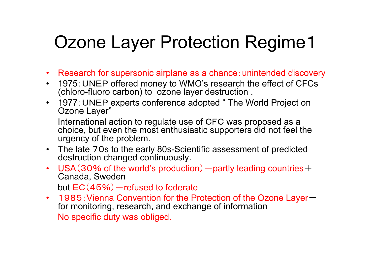## Ozone Layer Protection Regime 1

- Research for supersonic airplane as a chance : unintended discovery
- $\bullet$  1975:UNEP offered money to WMO's research the effect of CFCs (chloro-fluoro carbon) to ozone layer destruction .
- 1977: UNEP experts conference adopted " The World Project on Ozone Layer"

International action to regulate use of CFC was proposed as a choice, but even the most enthusiastic supporters did not feel the urgency of the problem.

- The late 70s to the early 80s-Scientific assessment of predicted destruction changed continuously.
- USA(30% of the world's production)  $-$  partly leading countries  $+$ Canada, Sweden but EC (45%) – refused to federate
- 1985: Vienna Convention for the Protection of the Ozone Layerfor monitoring, research, and exchange of information No specific duty was obliged.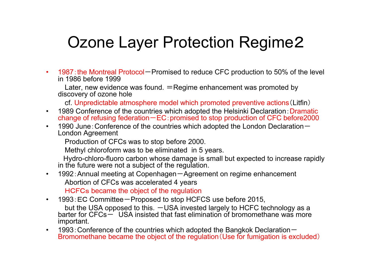#### Ozone Layer Protection Regime2

•• 1987: the Montreal Protocol – Promised to reduce CFC production to 50% of the level in 1986 before 1999

Later, new evidence was found. <sup>=</sup>Regime enhancement was promoted by discovery of ozone hole

cf. Unpredictable atmosphere model which promoted preventive actions (Litfin)

- $\bullet$ 1989 Conference of the countries which adopted the Helsinki Declaration: Dramatic change of refusing federation一EC:promised to stop production of CFC before2000
- • 1990 June:Conference of the countries which adopted the London Declaration -London Agreement

Production of CFCs was to stop before 2000.

Methyl chloroform was to be eliminated in 5 years.

Hydro-chloro-fluoro carbon whose damage is small but expected to increase rapidly in the future were not a subject of the regulation.

 $\bullet$  1992:Annual meeting at Copenhagen -Agreement on regime enhancement Abortion of CFCs was accelerated 4 years

HCFCs became the object of the regulation

- • 1993:EC Committee -Proposed to stop HCFCS use before 2015, but the USA opposed to this.  $-\text{USA}$  invested largely to HCFC technology as a barter for CFCs – USA insisted that fast elimination of bromomethane was more important.
- $\bullet$ 1993: Conference of the countries which adopted the Bangkok Declaration-Bromomethane became the object of the regulation(Use for fumigation is excluded)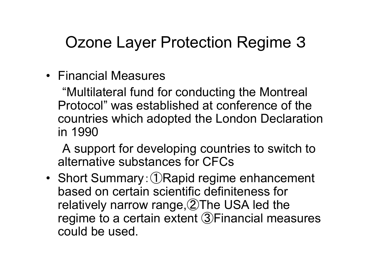#### Ozone Layer Protection Regime 3

• Financial Measures

"Multilateral fund for conducting the Montreal Protocol" was established at conference of the countries which adopted the London Declaration in 1990-------

A support for developing countries to switch to alternative substances for CFCs \_\_\_\_\_\_\_\_\_\_\_\_\_\_\_\_\_\_\_\_\_\_

• Short Summary:①Rapid regime enhancement based on certain scientific definiteness for relatively narrow range, ②The USA led the regime to <sup>a</sup> certain extent ③Financial measures could be used.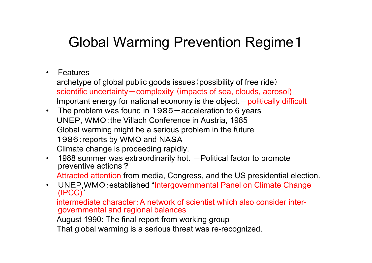#### Global Warming Prevention Regime1

• Features

archetype of global public goods issues(possibility of free ride) scientific uncertainty – complexity (impacts of sea, clouds, aerosol) Important energy for national economy is the object.  $\rightarrow$  politically difficult

- The problem was found in 1985 $-$ acceleration to 6 years UNEP, WMO:the Villach Conference in Austria, 1985 Global warming might be a serious problem in the future 1986:reports by WMO and NASA Climate change is proceeding rapidly.
- $\,$  1988 summer was extraordinarily hot.  $-$  Political factor to promote preventive actions ?

Attracted attention from media, Congress, and the US presidential election.

 $\bullet$  UNEP,WMO:established "Intergovernmental Panel on Climate Change (IPCC) "

intermediate character:A network of scientist which also consider intergovernmental and regional balances

August 1990: The final report from working group

That global warming is a serious threat was re-recognized.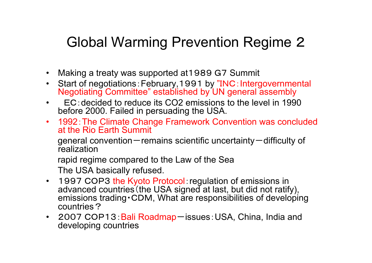#### Global Warming Prevention Regime 2

- Making <sup>a</sup> treaty was supported at 1989 G 7 Summit
- •Start of negotiations: February, 1991 by "INC: Intergovernmental Negotiating Committee" established by UN general assembly
- • $\cdot$  EC:decided to reduce its CO2 emissions to the level in 1990 before 2000. Failed in persuading the USA.
- 1992:The Climate Change Framework Convention was concluded at the Rio Earth Summit- - - - - - - <del>- - -</del> - - - <del>- - -</del>

general convention—remains scientific uncertainty—difficulty of realization

rapid regime compared to the Law of the Sea

The USA basically refused.

- 1997 COP3 the Kyoto Protocol: regulation of emissions in advanced countries (the USA signed at last, but did not ratify), emissions trading CDM, What are responsibilities of developing countries?
- 2007 COP13: Bali Roadmap issues: USA, China, India and developing countries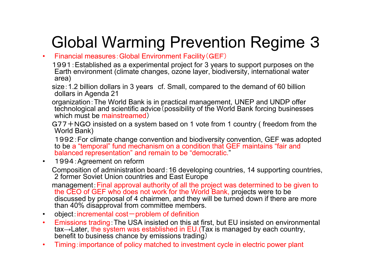#### Global Warming Prevention Regime 3

#### •Financial measures:Global Environment Facility(GEF)

1991:Established as a experimental project for 3 years to support purposes on the Earth environment (climate changes, ozone layer, biodiversity, international water area)

size:1.2 billion dollars in 3 years cf. Small, compared to the demand of 60 billion dollars in Agenda 21

organization: The World Bank is in practical management, UNEP and UNDP offer technological and scientific advice (possibility of the World Bank forcing businesses which must be mainstreamed)

G77+NGO insisted on a system based on 1 vote from 1 country ( freedom from the World Bank)

1992:For climate change convention and biodiversity convention, GEF was adopted to be a "temporal" fund mechanism on a condition that GEF maintains "fair and balanced representation" and remain to be "democratic."

•1994:Agreement on reform

Composition of administration board:16 developing countries, 14 supporting countries, 2 former Soviet Union countries and East Europe

management:Final approval authority of all the project was determined to be given to the CEO of GEF who does not work for the World Bank, projects were to be discussed by proposal of 4 chairmen, and they will be turned down if there are more than 40% disapproval from committee members.

- •object: incremental cost-problem of definition
- •• Emissions trading: The USA insisted on this at first, but EU insisted on environmental tax <sup>→</sup>Later, the system was established in EU.(Tax is managed by each country, benefit to business chance by emissions trading)
- •Timing:importance of policy matched to investment cycle in electric power plant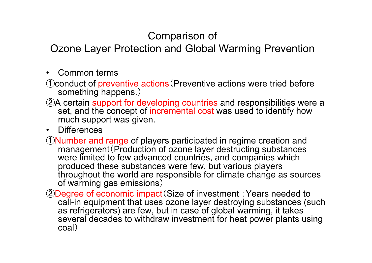#### Comparison of

Ozone Layer Protection and Global Warming Prevention

- • Common terms. . . . . . . .
- ①conduct of preventive actions (Preventive actions were tried before something happens. )
- ②<sup>A</sup> certain support for developing countries and responsibilities were <sup>a</sup> set, and the concept of incremental cost was used to identify how much support was given.
- Differences
- ①Number and range of players participated in regime creation and management (Production of ozone layer destructing substances were limited to few advanced countries, and companies which produced these substances were few, but various players throughout the world are responsible for climate change as sources of warming gas emissions )
- 2Degree of economic impact (Size of investment : Years needed to call-in equipment that uses ozone layer destroying substances (such as refrigerators) are few, but in case of global warming, it takes several decades to withdraw investment for heat power plants using coal )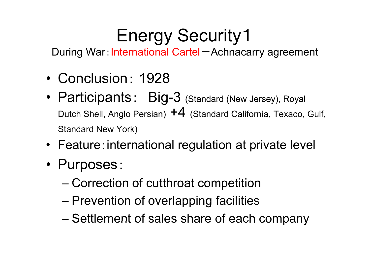# **Energy Security1**

During War: International Cartel-Achnacarry agreement

- Conclusion: 1928
- Participants: Big-3 (Standard (New Jersey), Royal Dutch Shell, Anglo Persian) +4 (Standard California, Texaco, Gulf, Standard New York)
- Feature:international regulation at private level
- Purposes:
	- –Correction of cutthroat competition
	- –Prevention of overlapping facilities
	- –– Settlement of sales share of each company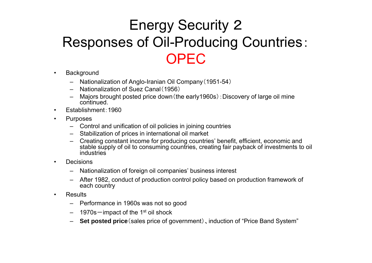#### Energy Security 2 Responses of Oil-Producing Countries: OPEC

- •**Background** 
	- Nationalization of Anglo-Iranian Oil Company(1951-54)
	- Nationalization of Suez Canal(1956)
	- – Majors brought posted price down(the early1960s):Discovery of large oil mine continued.
- •Establishment:1960
- • Purposes
	- Control and unification of oil policies in joining countries
	- Stabilization of prices in international oil market
	- Creating constant income for producing countries' benefit, efficient, economic and stable supply of oil to consuming countries, creating fair payback of investments to oil industries
- • Decisions
	- Nationalization of foreign oil companies' business interest
	- After 1982, conduct of production control policy based on production framework of each country
- •**Results** 
	- Performance in 1960s was not so good
	- 1970s  $-$  impact of the 1st oil shock
	- **Set posted price** (sales price of government government)、induction of "Price Band System Price System"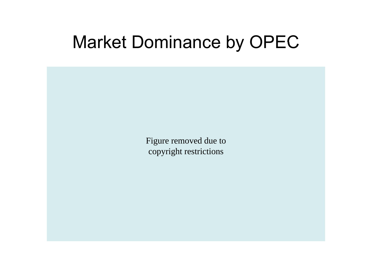#### Market Dominance by OPEC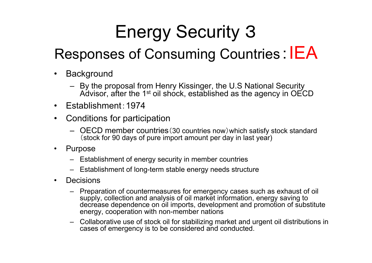# Energy Security 3

#### Responses of Consuming Countries: IEA

- •• Background
	- By the proposal from Henry Kissinger, the U.S National Security Advisor, after the 1<sup>st</sup> oil shock, established as the agency in OECD
- Establishment:1974
- • Conditions for participation
	- OECD member countries (30 countries now) which satisfy stock standard <br> (stock for 90 days of pure import amount per day in last year)
- • Purpose
	- Establishment of energy security in member countries
	- Establishment of long-term stable energy needs structure
- • Decisions
	- Preparation of countermeasures for emergency cases such as exhaust of oil supply, collection and analysis of oil market information, energy saving to decrease dependence on oil imports, development and promotion of substitute energy, cooperation with non-member nations
	- Collaborative use of stock oil for stabilizing market and urgent oil distributions in cases of emergency is to be considered and conducted.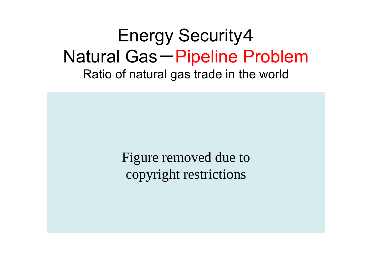#### Energy Security4 Natural Gas-Pipeline Problem Ratio of natural gas trade in the world

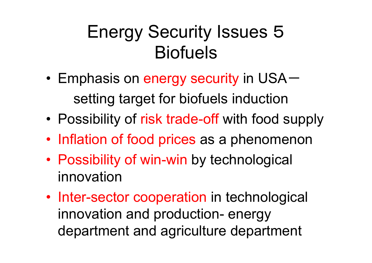# Energy Security Issues 5 **Biofuels**

- • Emphasis on energy security in US A setting target for biofuels induction
- •Possibility of risk trade-off with food supply
- $\bullet$ Inflation of food prices as a phenomenon
- $\bullet$ • Possibility of win-win by technological innovation
- Inter-sector cooperation in technological innovation and production- energy department and agriculture department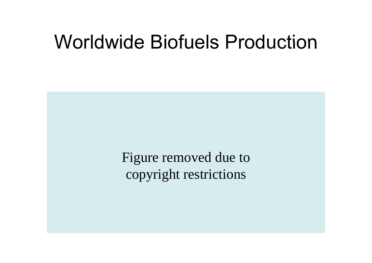## Worldwide Biofuels Production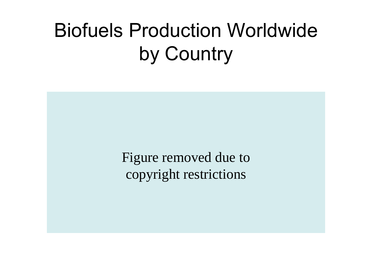# Biofuels Production Worldwideby Country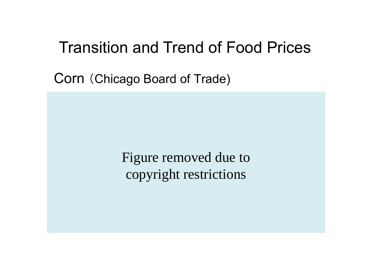#### Transition and Trend of Food Prices

Corn (Chicago Board of Trade)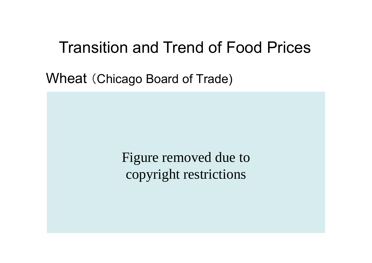#### Transition and Trend of Food Prices

Wheat (Chicago Board of Trade)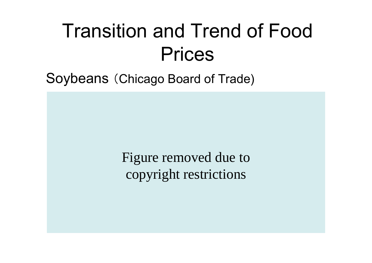# Transition and Trend of Food Prices

Soybeans (Chicago Board of Trade)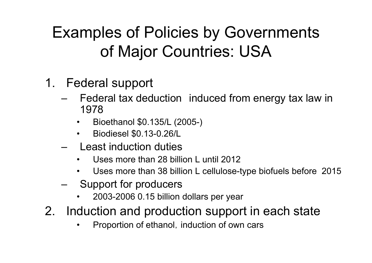#### Examples of Policies by Governments of Major Countries: USA

- 1. Federal support
	- –Federal tax deduction induced from energy tax law in 1978
		- •Bioethanol \$0.135/L (2005-)
		- $\bullet$ • Biodiesel \$0.13-0.26/L
	- Least induction duties
		- $\bullet$  Uses more than 28 billion L until 2012 \_\_ \_ \_ \_ \_ \_ \_ \_ \_ \_
		- $\bullet$ Uses more than 38 billion L cellulose-type biofuels before 2015
	- Support for producers
		- $\bullet$ 2003-2006 0.15 billion dollars per year
- 2. Induction and production support in each state
	- •Proportion of ethanol, induction of own cars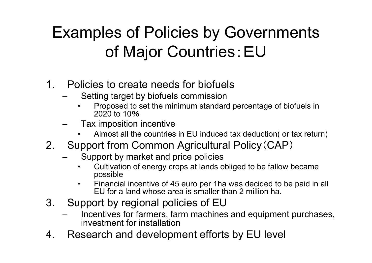#### Examples of Policies by Governments of Major Countries:EU

- 1. Policies to create needs for biofuels
	- – Setting target by biofuels commission
		- • Proposed to set the minimum standard percentage of biofuels in 2020 to 10%
	- – Tax imposition incentive
		- •• Almost all the countries in EU induced tax deduction( or tax return)
- 2. Support from Common Agricultural Policy (CAP)
	- –- Support by market and price policies
		- $\bullet$  Cultivation of energy crops at lands obliged to be fallow became possible
		- $\bullet$  Financial incentive of 45 euro per 1ha was decided to be paid in all EU for a land whose area is smaller than 2 million ha. . . . . . . . . . . . . . .
- 3. Support by regional policies of EU
	- Incentives for farmers, farm machines and equipment purchases, investment for installation
- 4. Research and development efforts by EU level